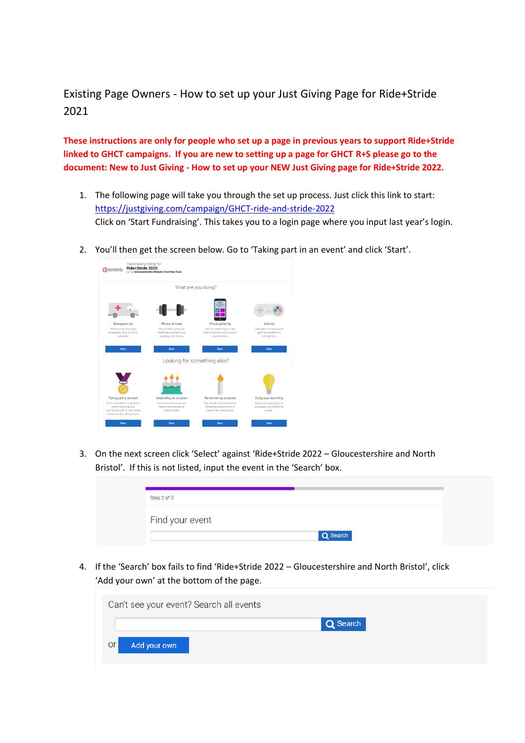Existing Page Owners - How to set up your Just Giving Page for Ride+Stride 2021

**These instructions are only for people who set up a page in previous years to support Ride+Stride linked to GHCT campaigns. If you are new to setting up a page for GHCT R+S please go to the document: New to Just Giving - How to set up your NEW Just Giving page for Ride+Stride 2022.**

- 1. The following page will take you through the set up process. Just click this link to start: <https://justgiving.com/campaign/GHCT-ride-and-stride-2022> Click on 'Start Fundraising'. This takes you to a login page where you input last year's login.
- 2. You'll then get the screen below. Go to 'Taking part in an event' and click 'Start'.



3. On the next screen click 'Select' against 'Ride+Stride 2022 – Gloucestershire and North Bristol'. If this is not listed, input the event in the 'Search' box.

| Step 2 of 3     |          |  |
|-----------------|----------|--|
| Find your event |          |  |
|                 | Q Search |  |

4. If the 'Search' box fails to find 'Ride+Stride 2022 – Gloucestershire and North Bristol', click 'Add your own' at the bottom of the page.

| Can't see your event? Search all events |          |  |
|-----------------------------------------|----------|--|
|                                         | Q Search |  |
| or<br>Add your own                      |          |  |